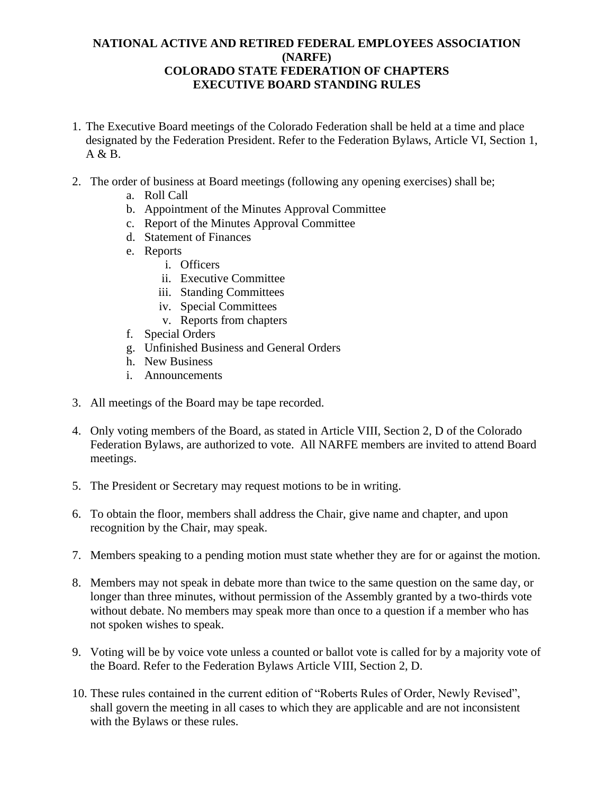## **NATIONAL ACTIVE AND RETIRED FEDERAL EMPLOYEES ASSOCIATION (NARFE) COLORADO STATE FEDERATION OF CHAPTERS EXECUTIVE BOARD STANDING RULES**

- 1. The Executive Board meetings of the Colorado Federation shall be held at a time and place designated by the Federation President. Refer to the Federation Bylaws, Article VI, Section 1,  $A \& B$ .
- 2. The order of business at Board meetings (following any opening exercises) shall be;
	- a. Roll Call
	- b. Appointment of the Minutes Approval Committee
	- c. Report of the Minutes Approval Committee
	- d. Statement of Finances
	- e. Reports
		- i. Officers
		- ii. Executive Committee
		- iii. Standing Committees
		- iv. Special Committees
		- v. Reports from chapters
	- f. Special Orders
	- g. Unfinished Business and General Orders
	- h. New Business
	- i. Announcements
- 3. All meetings of the Board may be tape recorded.
- 4. Only voting members of the Board, as stated in Article VIII, Section 2, D of the Colorado Federation Bylaws, are authorized to vote. All NARFE members are invited to attend Board meetings.
- 5. The President or Secretary may request motions to be in writing.
- 6. To obtain the floor, members shall address the Chair, give name and chapter, and upon recognition by the Chair, may speak.
- 7. Members speaking to a pending motion must state whether they are for or against the motion.
- 8. Members may not speak in debate more than twice to the same question on the same day, or longer than three minutes, without permission of the Assembly granted by a two-thirds vote without debate. No members may speak more than once to a question if a member who has not spoken wishes to speak.
- 9. Voting will be by voice vote unless a counted or ballot vote is called for by a majority vote of the Board. Refer to the Federation Bylaws Article VIII, Section 2, D.
- 10. These rules contained in the current edition of "Roberts Rules of Order, Newly Revised", shall govern the meeting in all cases to which they are applicable and are not inconsistent with the Bylaws or these rules.